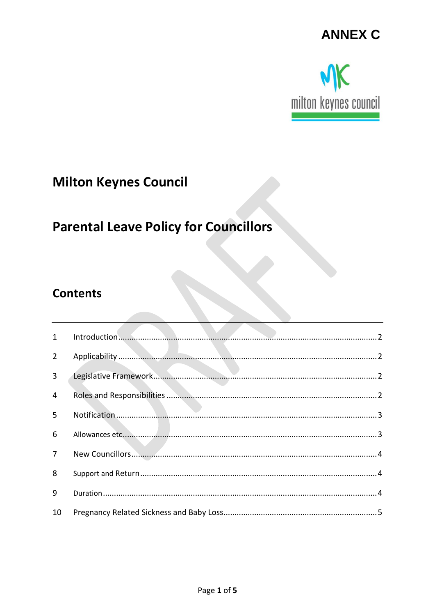## **ANNEX C**



## **Milton Keynes Council**

# **Parental Leave Policy for Councillors**

### **Contents**

| Introduction 2 |
|----------------|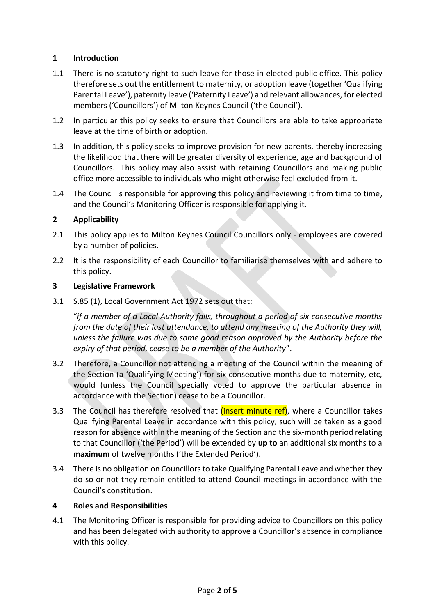#### **1 Introduction**

- 1.1 There is no statutory right to such leave for those in elected public office. This policy therefore sets out the entitlement to maternity, or adoption leave (together 'Qualifying Parental Leave'), paternity leave ('Paternity Leave') and relevant allowances, for elected members ('Councillors') of Milton Keynes Council ('the Council').
- 1.2 In particular this policy seeks to ensure that Councillors are able to take appropriate leave at the time of birth or adoption.
- 1.3 In addition, this policy seeks to improve provision for new parents, thereby increasing the likelihood that there will be greater diversity of experience, age and background of Councillors. This policy may also assist with retaining Councillors and making public office more accessible to individuals who might otherwise feel excluded from it.
- 1.4 The Council is responsible for approving this policy and reviewing it from time to time, and the Council's Monitoring Officer is responsible for applying it.

#### **2 Applicability**

- 2.1 This policy applies to Milton Keynes Council Councillors only employees are covered by a number of policies.
- 2.2 It is the responsibility of each Councillor to familiarise themselves with and adhere to this policy.

#### **3 Legislative Framework**

3.1 S.85 (1), Local Government Act 1972 sets out that:

"*if a member of a Local Authority fails, throughout a period of six consecutive months from the date of their last attendance, to attend any meeting of the Authority they will, unless the failure was due to some good reason approved by the Authority before the expiry of that period, cease to be a member of the Authority*".

- 3.2 Therefore, a Councillor not attending a meeting of the Council within the meaning of the Section (a 'Qualifying Meeting') for six consecutive months due to maternity, etc, would (unless the Council specially voted to approve the particular absence in accordance with the Section) cease to be a Councillor.
- 3.3 The Council has therefore resolved that *(insert minute ref)*, where a Councillor takes Qualifying Parental Leave in accordance with this policy, such will be taken as a good reason for absence within the meaning of the Section and the six-month period relating to that Councillor ('the Period') will be extended by **up to** an additional six months to a **maximum** of twelve months ('the Extended Period').
- 3.4 There is no obligation on Councillors to take Qualifying Parental Leave and whether they do so or not they remain entitled to attend Council meetings in accordance with the Council's constitution.

#### **4 Roles and Responsibilities**

4.1 The Monitoring Officer is responsible for providing advice to Councillors on this policy and has been delegated with authority to approve a Councillor's absence in compliance with this policy.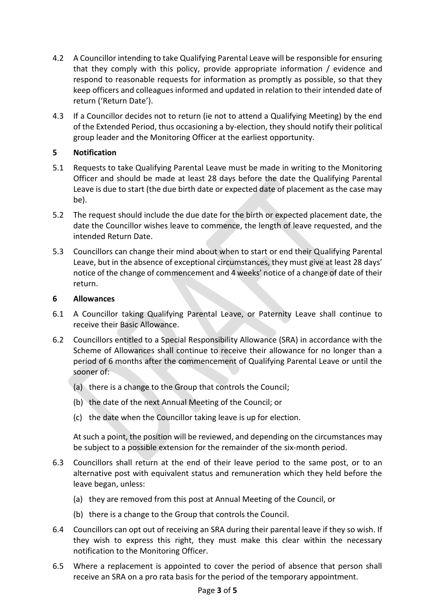- 4.2 A Councillor intending to take Qualifying Parental Leave will be responsible for ensuring that they comply with this policy, provide appropriate information / evidence and respond to reasonable requests for information as promptly as possible, so that they keep officers and colleagues informed and updated in relation to their intended date of return ('Return Date').
- 4.3 If a Councillor decides not to return (ie not to attend a Qualifying Meeting) by the end of the Extended Period, thus occasioning a by-election, they should notify their political group leader and the Monitoring Officer at the earliest opportunity.

#### **5 Notification**

- 5.1 Requests to take Qualifying Parental Leave must be made in writing to the Monitoring Officer and should be made at least 28 days before the date the Qualifying Parental Leave is due to start (the due birth date or expected date of placement as the case may be).
- 5.2 The request should include the due date for the birth or expected placement date, the date the Councillor wishes leave to commence, the length of leave requested, and the intended Return Date.
- 5.3 Councillors can change their mind about when to start or end their Qualifying Parental Leave, but in the absence of exceptional circumstances, they must give at least 28 days' notice of the change of commencement and 4 weeks' notice of a change of date of their return.

#### **6 Allowances**

- 6.1 A Councillor taking Qualifying Parental Leave, or Paternity Leave shall continue to receive their Basic Allowance.
- 6.2 Councillors entitled to a Special Responsibility Allowance (SRA) in accordance with the Scheme of Allowances shall continue to receive their allowance for no longer than a period of 6 months after the commencement of Qualifying Parental Leave or until the sooner of:
	- (a) there is a change to the Group that controls the Council;
	- (b) the date of the next Annual Meeting of the Council; or
	- (c) the date when the Councillor taking leave is up for election.

At such a point, the position will be reviewed, and depending on the circumstances may be subject to a possible extension for the remainder of the six-month period.

- 6.3 Councillors shall return at the end of their leave period to the same post, or to an alternative post with equivalent status and remuneration which they held before the leave began, unless:
	- (a) they are removed from this post at Annual Meeting of the Council, or
	- (b) there is a change to the Group that controls the Council.
- 6.4 Councillors can opt out of receiving an SRA during their parental leave if they so wish. If they wish to express this right, they must make this clear within the necessary notification to the Monitoring Officer.
- 6.5 Where a replacement is appointed to cover the period of absence that person shall receive an SRA on a pro rata basis for the period of the temporary appointment.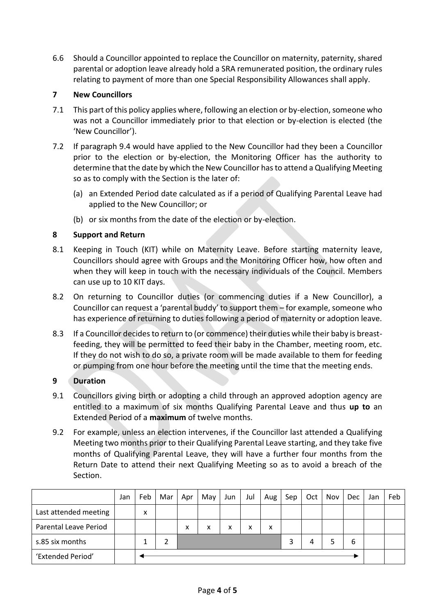6.6 Should a Councillor appointed to replace the Councillor on maternity, paternity, shared parental or adoption leave already hold a SRA remunerated position, the ordinary rules relating to payment of more than one Special Responsibility Allowances shall apply.

#### **7 New Councillors**

- 7.1 This part of this policy applies where, following an election or by-election, someone who was not a Councillor immediately prior to that election or by-election is elected (the 'New Councillor').
- 7.2 If paragraph 9.4 would have applied to the New Councillor had they been a Councillor prior to the election or by-election, the Monitoring Officer has the authority to determine that the date by which the New Councillor has to attend a Qualifying Meeting so as to comply with the Section is the later of:
	- (a) an Extended Period date calculated as if a period of Qualifying Parental Leave had applied to the New Councillor; or
	- (b) or six months from the date of the election or by-election.

#### **8 Support and Return**

- 8.1 Keeping in Touch (KIT) while on Maternity Leave. Before starting maternity leave, Councillors should agree with Groups and the Monitoring Officer how, how often and when they will keep in touch with the necessary individuals of the Council. Members can use up to 10 KIT days.
- 8.2 On returning to Councillor duties (or commencing duties if a New Councillor), a Councillor can request a 'parental buddy' to support them – for example, someone who has experience of returning to duties following a period of maternity or adoption leave.
- 8.3 If a Councillor decides to return to (or commence) their duties while their baby is breastfeeding, they will be permitted to feed their baby in the Chamber, meeting room, etc. If they do not wish to do so, a private room will be made available to them for feeding or pumping from one hour before the meeting until the time that the meeting ends.

#### **9 Duration**

- 9.1 Councillors giving birth or adopting a child through an approved adoption agency are entitled to a maximum of six months Qualifying Parental Leave and thus **up to** an Extended Period of a **maximum** of twelve months.
- 9.2 For example, unless an election intervenes, if the Councillor last attended a Qualifying Meeting two months prior to their Qualifying Parental Leave starting, and they take five months of Qualifying Parental Leave, they will have a further four months from the Return Date to attend their next Qualifying Meeting so as to avoid a breach of the Section.

|                       | Jan | Feb | Mar | Apr | May | Jun | Jul | Aug | Sep | Oct | Nov | Dec | Jan | Feb |
|-----------------------|-----|-----|-----|-----|-----|-----|-----|-----|-----|-----|-----|-----|-----|-----|
| Last attended meeting |     | x   |     |     |     |     |     |     |     |     |     |     |     |     |
| Parental Leave Period |     |     |     | x   | x   | x   | x   | x   |     |     |     |     |     |     |
| s.85 six months       |     |     |     |     |     |     |     |     |     | 4   |     | 6   |     |     |
| 'Extended Period'     |     |     |     |     |     |     |     |     |     |     |     |     |     |     |